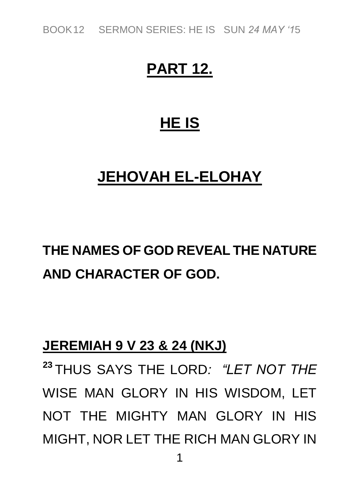*BOOK12 SERMON SERIES: HE IS SUN 24 MAY '15*

### **PART 12.**

### **HE IS**

### **JEHOVAH EL-ELOHAY**

## **THE NAMES OF GOD REVEAL THE NATURE AND CHARACTER OF GOD.**

### **JEREMIAH 9 V 23 & 24 (NKJ)**

**<sup>23</sup>** *THUS SAYS THE LORD: "LET NOT THE WISE MAN GLORY IN HIS WISDOM, LET NOT THE MIGHTY MAN GLORY IN HIS MIGHT, NOR LET THE RICH MAN GLORY IN*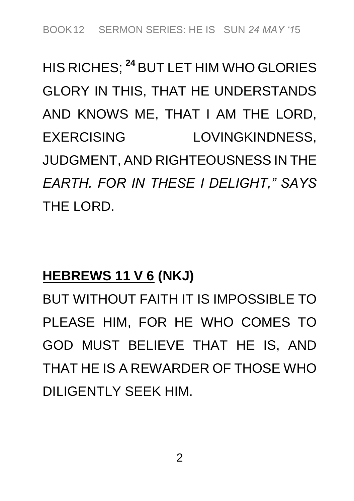# *HIS RICHES;* **<sup>24</sup>** *BUT LET HIM WHO GLORIES GLORY IN THIS, THAT HE UNDERSTANDS AND KNOWS ME, THAT I AM THE LORD, EXERCISING LOVINGKINDNESS, JUDGMENT, AND RIGHTEOUSNESS IN THE EARTH. FOR IN THESE I DELIGHT," SAYS THE LORD.*

### **HEBREWS 11 V 6 (NKJ)**

*BUT WITHOUT FAITH IT IS IMPOSSIBLE TO PLEASE HIM, FOR HE WHO COMES TO GOD MUST BELIEVE THAT HE IS, AND THAT HE IS A REWARDER OF THOSE WHO DILIGENTLY SEEK HIM.*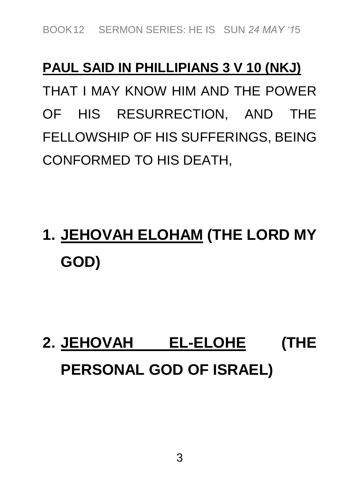### **PAUL SAID IN PHILLIPIANS 3 V 10 (NKJ)**

*THAT I MAY KNOW HIM AND THE POWER OF HIS RESURRECTION, AND THE FELLOWSHIP OF HIS SUFFERINGS, BEING CONFORMED TO HIS DEATH,*

# **1. JEHOVAH ELOHAM (THE LORD MY GOD)**

# **2. JEHOVAH EL-ELOHE (THE PERSONAL GOD OF ISRAEL)**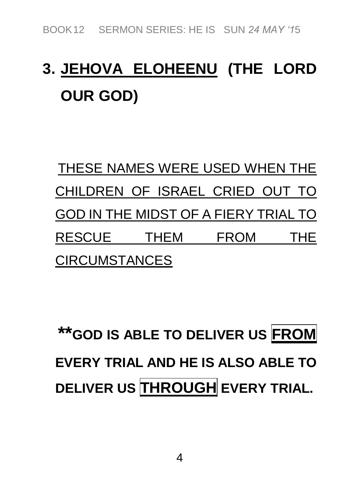# **3. JEHOVA ELOHEENU (THE LORD OUR GOD)**

*THESE NAMES WERE USED WHEN THE CHILDREN OF ISRAEL CRIED OUT TO GOD IN THE MIDST OF A FIERY TRIAL TO RESCUE THEM FROM THE CIRCUMSTANCES*

**\*\*GOD IS ABLE TO DELIVER US FROM EVERY TRIAL AND HE IS ALSO ABLE TO DELIVER US THROUGH EVERY TRIAL.**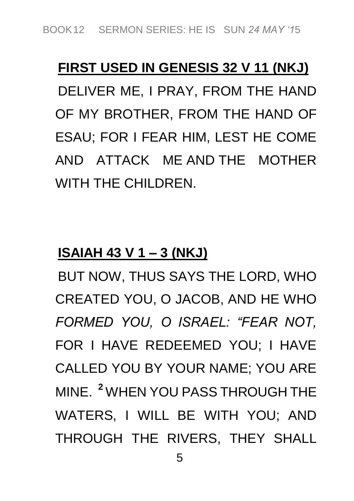## **FIRST USED IN GENESIS 32 V 11 (NKJ)** *DELIVER ME, I PRAY, FROM THE HAND OF MY BROTHER, FROM THE HAND OF ESAU; FOR I FEAR HIM, LEST HE COME AND ATTACK ME AND THE MOTHER WITH THE CHILDREN.*

### **ISAIAH 43 V 1 – 3 (NKJ)**

*BUT NOW, THUS SAYS THE LORD, WHO CREATED YOU, O JACOB, AND HE WHO FORMED YOU, O ISRAEL: "FEAR NOT, FOR I HAVE REDEEMED YOU; I HAVE CALLED YOU BY YOUR NAME; YOU ARE MINE.* **<sup>2</sup>** *WHEN YOU PASS THROUGH THE WATERS, I WILL BE WITH YOU; AND THROUGH THE RIVERS, THEY SHALL*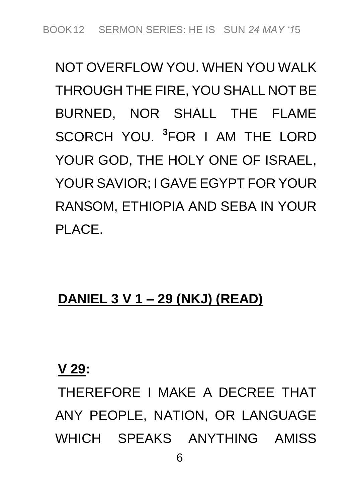*NOT OVERFLOW YOU. WHEN YOU WALK THROUGH THE FIRE, YOU SHALL NOT BE BURNED, NOR SHALL THE FLAME SCORCH YOU.* **<sup>3</sup>** *FOR I AM THE LORD YOUR GOD, THE HOLY ONE OF ISRAEL, YOUR SAVIOR; I GAVE EGYPT FOR YOUR RANSOM, ETHIOPIA AND SEBA IN YOUR PLACE.*

### **DANIEL 3 V 1 – 29 (NKJ) (READ)**

#### **V 29:**

*THEREFORE I MAKE A DECREE THAT ANY PEOPLE, NATION, OR LANGUAGE WHICH SPEAKS ANYTHING AMISS*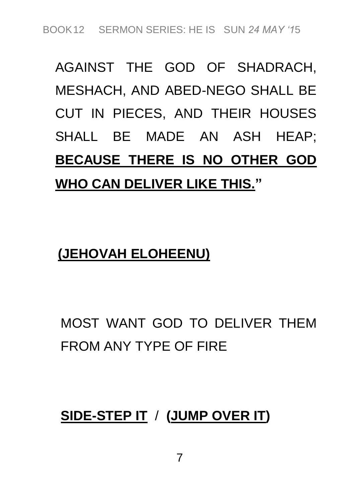# *AGAINST THE GOD OF SHADRACH, MESHACH, AND ABED-NEGO SHALL BE CUT IN PIECES, AND THEIR HOUSES SHALL BE MADE AN ASH HEAP;*  **BECAUSE THERE IS NO OTHER GOD WHO CAN DELIVER LIKE THIS."**

### **(JEHOVAH ELOHEENU)**

## *MOST WANT GOD TO DELIVER THEM FROM ANY TYPE OF FIRE*

### **SIDE-STEP IT** */* **(JUMP OVER IT)**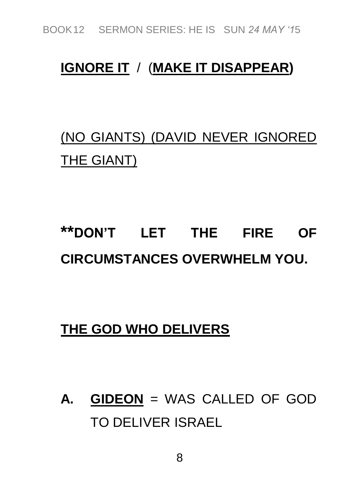*BOOK12 SERMON SERIES: HE IS SUN 24 MAY '15*

### **IGNORE IT** */ (***MAKE IT DISAPPEAR)**

### *(NO GIANTS) (DAVID NEVER IGNORED THE GIANT)*

## **\*\*DON'T LET THE FIRE OF CIRCUMSTANCES OVERWHELM YOU.**

#### **THE GOD WHO DELIVERS**

**A. GIDEON** *= WAS CALLED OF GOD TO DELIVER ISRAEL*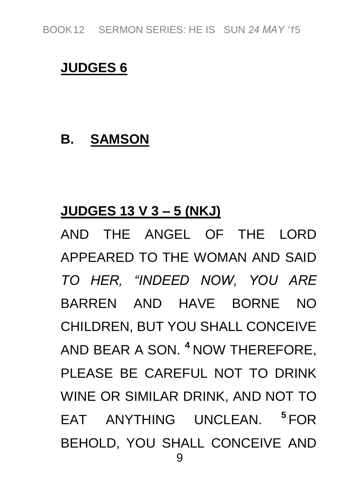#### **JUDGES 6**

### **B. SAMSON**

### **JUDGES 13 V 3 – 5 (NKJ)**

*9 AND THE ANGEL OF THE LORD APPEARED TO THE WOMAN AND SAID TO HER, "INDEED NOW, YOU ARE BARREN AND HAVE BORNE NO CHILDREN, BUT YOU SHALL CONCEIVE AND BEAR A SON.* **<sup>4</sup>** *NOW THEREFORE, PLEASE BE CAREFUL NOT TO DRINK WINE OR SIMILAR DRINK, AND NOT TO EAT ANYTHING UNCLEAN.* **<sup>5</sup>** *FOR BEHOLD, YOU SHALL CONCEIVE AND*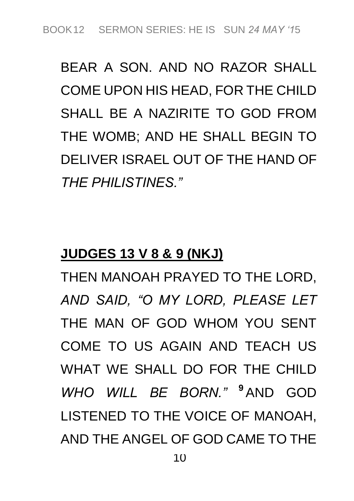*BEAR A SON. AND NO RAZOR SHALL COME UPON HIS HEAD, FOR THE CHILD SHALL BE A NAZIRITE TO GOD FROM THE WOMB; AND HE SHALL BEGIN TO DELIVER ISRAEL OUT OF THE HAND OF THE PHILISTINES."*

#### **JUDGES 13 V 8 & 9 (NKJ)**

*THEN MANOAH PRAYED TO THE LORD, AND SAID, "O MY LORD, PLEASE LET THE MAN OF GOD WHOM YOU SENT COME TO US AGAIN AND TEACH US WHAT WE SHALL DO FOR THE CHILD WHO WILL BE BORN."* **<sup>9</sup>** *AND GOD LISTENED TO THE VOICE OF MANOAH, AND THE ANGEL OF GOD CAME TO THE*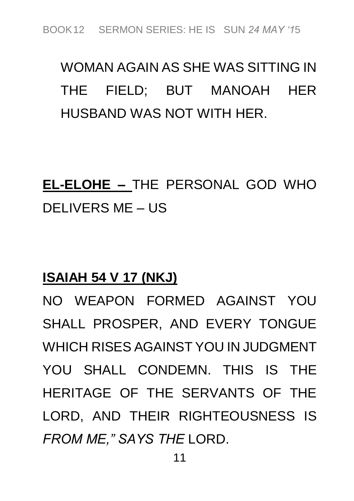## *WOMAN AGAIN AS SHE WAS SITTING IN THE FIELD; BUT MANOAH HER HUSBAND WAS NOT WITH HER.*

## **EL-ELOHE –** *THE PERSONAL GOD WHO DELIVERS ME – US*

### **ISAIAH 54 V 17 (NKJ)**

*NO WEAPON FORMED AGAINST YOU SHALL PROSPER, AND EVERY TONGUE WHICH RISES AGAINST YOU IN JUDGMENT YOU SHALL CONDEMN. THIS IS THE HERITAGE OF THE SERVANTS OF THE LORD, AND THEIR RIGHTEOUSNESS IS FROM ME," SAYS THE LORD.*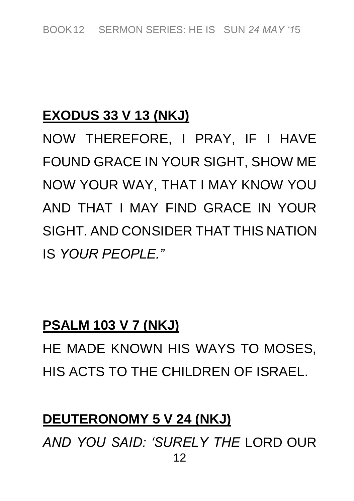### **EXODUS 33 V 13 (NKJ)**

*NOW THEREFORE, I PRAY, IF I HAVE FOUND GRACE IN YOUR SIGHT, SHOW ME NOW YOUR WAY, THAT I MAY KNOW YOU AND THAT I MAY FIND GRACE IN YOUR SIGHT. AND CONSIDER THAT THIS NATION IS YOUR PEOPLE."*

#### **PSALM 103 V 7 (NKJ)**

*HE MADE KNOWN HIS WAYS TO MOSES, HIS ACTS TO THE CHILDREN OF ISRAEL.*

### **DEUTERONOMY 5 V 24 (NKJ)**

*12 AND YOU SAID: 'SURELY THE LORD OUR*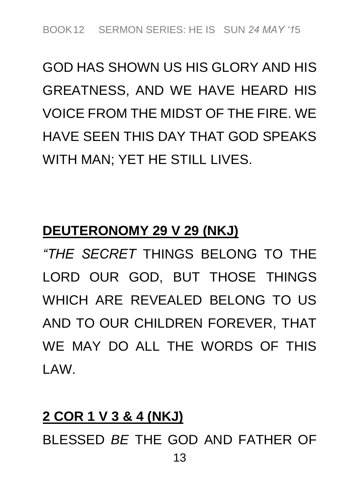## *GOD HAS SHOWN US HIS GLORY AND HIS GREATNESS, AND WE HAVE HEARD HIS VOICE FROM THE MIDST OF THE FIRE. WE HAVE SEEN THIS DAY THAT GOD SPEAKS WITH MAN; YET HE STILL LIVES.*

### **DEUTERONOMY 29 V 29 (NKJ)**

*"THE SECRET THINGS BELONG TO THE LORD OUR GOD, BUT THOSE THINGS WHICH ARE REVEALED BELONG TO US AND TO OUR CHILDREN FOREVER, THAT WE MAY DO ALL THE WORDS OF THIS LAW.*

#### **2 COR 1 V 3 & 4 (NKJ)**

*13 BLESSED BE THE GOD AND FATHER OF*